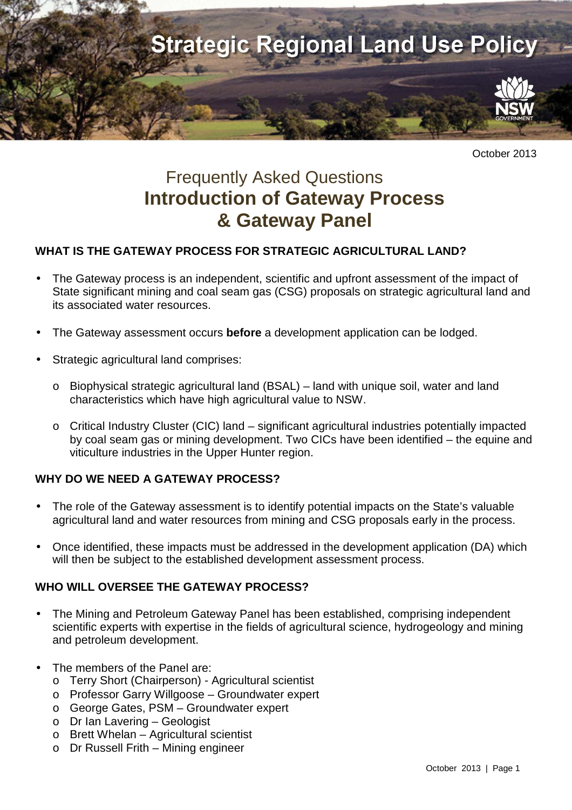

October 2013

# Frequently Asked Questions **Introduction of Gateway Process & Gateway Panel**

## **WHAT IS THE GATEWAY PROCESS FOR STRATEGIC AGRICULTURAL LAND?**

- The Gateway process is an independent, scientific and upfront assessment of the impact of State significant mining and coal seam gas (CSG) proposals on strategic agricultural land and its associated water resources.
- The Gateway assessment occurs **before** a development application can be lodged.
- Strategic agricultural land comprises:
	- o Biophysical strategic agricultural land (BSAL) land with unique soil, water and land characteristics which have high agricultural value to NSW.
	- o Critical Industry Cluster (CIC) land significant agricultural industries potentially impacted by coal seam gas or mining development. Two CICs have been identified – the equine and viticulture industries in the Upper Hunter region.

## **WHY DO WE NEED A GATEWAY PROCESS?**

- The role of the Gateway assessment is to identify potential impacts on the State's valuable agricultural land and water resources from mining and CSG proposals early in the process.
- Once identified, these impacts must be addressed in the development application (DA) which will then be subject to the established development assessment process.

## **WHO WILL OVERSEE THE GATEWAY PROCESS?**

- The Mining and Petroleum Gateway Panel has been established, comprising independent scientific experts with expertise in the fields of agricultural science, hydrogeology and mining and petroleum development.
- The members of the Panel are:
	- o Terry Short (Chairperson) Agricultural scientist
	- o Professor Garry Willgoose Groundwater expert
	- o George Gates, PSM Groundwater expert
	- o Dr Ian Lavering Geologist
	- o Brett Whelan Agricultural scientist
	- o Dr Russell Frith Mining engineer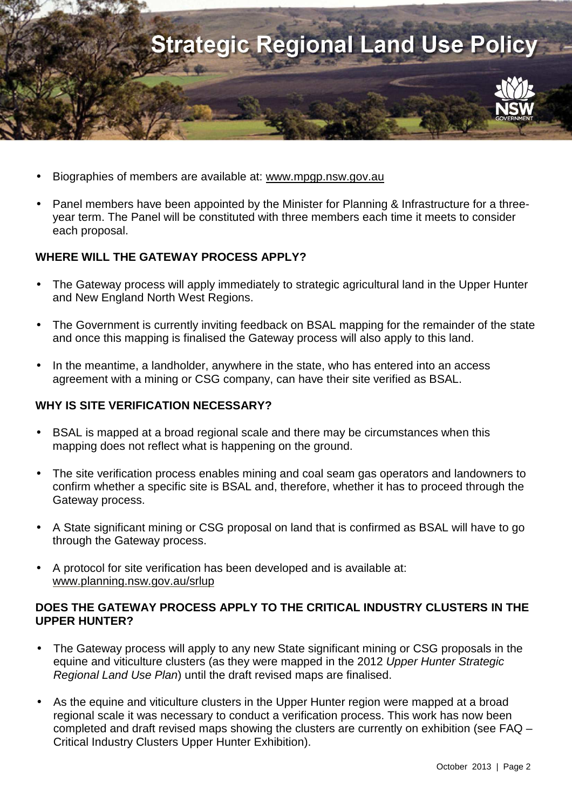

- Biographies of members are available at: www.mpgp.nsw.gov.au
- Panel members have been appointed by the Minister for Planning & Infrastructure for a threeyear term. The Panel will be constituted with three members each time it meets to consider each proposal.

## **WHERE WILL THE GATEWAY PROCESS APPLY?**

- The Gateway process will apply immediately to strategic agricultural land in the Upper Hunter and New England North West Regions.
- The Government is currently inviting feedback on BSAL mapping for the remainder of the state and once this mapping is finalised the Gateway process will also apply to this land.
- In the meantime, a landholder, anywhere in the state, who has entered into an access agreement with a mining or CSG company, can have their site verified as BSAL.

#### **WHY IS SITE VERIFICATION NECESSARY?**

- BSAL is mapped at a broad regional scale and there may be circumstances when this mapping does not reflect what is happening on the ground.
- The site verification process enables mining and coal seam gas operators and landowners to confirm whether a specific site is BSAL and, therefore, whether it has to proceed through the Gateway process.
- A State significant mining or CSG proposal on land that is confirmed as BSAL will have to go through the Gateway process.
- A protocol for site verification has been developed and is available at: www.planning.nsw.gov.au/srlup

#### **DOES THE GATEWAY PROCESS APPLY TO THE CRITICAL INDUSTRY CLUSTERS IN THE UPPER HUNTER?**

- The Gateway process will apply to any new State significant mining or CSG proposals in the equine and viticulture clusters (as they were mapped in the 2012 Upper Hunter Strategic Regional Land Use Plan) until the draft revised maps are finalised.
- As the equine and viticulture clusters in the Upper Hunter region were mapped at a broad regional scale it was necessary to conduct a verification process. This work has now been completed and draft revised maps showing the clusters are currently on exhibition (see FAQ – Critical Industry Clusters Upper Hunter Exhibition).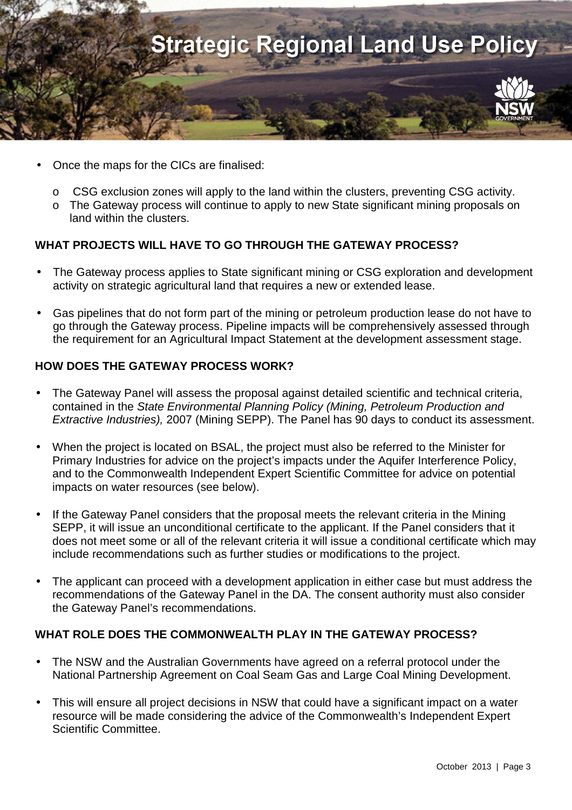

- Once the maps for the CICs are finalised:
	- o CSG exclusion zones will apply to the land within the clusters, preventing CSG activity.
	- o The Gateway process will continue to apply to new State significant mining proposals on land within the clusters.

## **WHAT PROJECTS WILL HAVE TO GO THROUGH THE GATEWAY PROCESS?**

- The Gateway process applies to State significant mining or CSG exploration and development activity on strategic agricultural land that requires a new or extended lease.
- Gas pipelines that do not form part of the mining or petroleum production lease do not have to go through the Gateway process. Pipeline impacts will be comprehensively assessed through the requirement for an Agricultural Impact Statement at the development assessment stage.

## **HOW DOES THE GATEWAY PROCESS WORK?**

- The Gateway Panel will assess the proposal against detailed scientific and technical criteria, contained in the State Environmental Planning Policy (Mining, Petroleum Production and Extractive Industries), 2007 (Mining SEPP). The Panel has 90 days to conduct its assessment.
- When the project is located on BSAL, the project must also be referred to the Minister for Primary Industries for advice on the project's impacts under the Aquifer Interference Policy, and to the Commonwealth Independent Expert Scientific Committee for advice on potential impacts on water resources (see below).
- If the Gateway Panel considers that the proposal meets the relevant criteria in the Mining SEPP, it will issue an unconditional certificate to the applicant. If the Panel considers that it does not meet some or all of the relevant criteria it will issue a conditional certificate which may include recommendations such as further studies or modifications to the project.
- The applicant can proceed with a development application in either case but must address the recommendations of the Gateway Panel in the DA. The consent authority must also consider the Gateway Panel's recommendations.

## **WHAT ROLE DOES THE COMMONWEALTH PLAY IN THE GATEWAY PROCESS?**

- The NSW and the Australian Governments have agreed on a referral protocol under the National Partnership Agreement on Coal Seam Gas and Large Coal Mining Development.
- This will ensure all project decisions in NSW that could have a significant impact on a water resource will be made considering the advice of the Commonwealth's Independent Expert Scientific Committee.